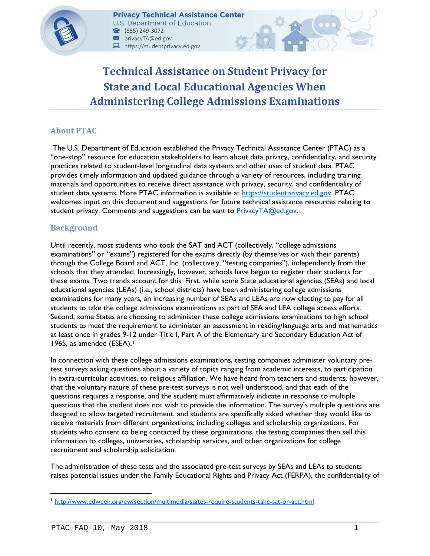

# **Technical Assistance on Student Privacy for State and Local Educational Agencies When Administering College Admissions Examinations**

# **About PTAC**

The U.S. Department of Education established the Privacy Technical Assistance Center (PTAC) as a "one-stop" resource for education stakeholders to learn about data privacy, confidentiality, and security practices related to student-level longitudinal data systems and other uses of student data. PTAC provides timely information and updated guidance through a variety of resources, including training materials and opportunities to receive direct assistance with privacy, security, and confidentiality of student data systems. More PTAC information is available at [https://studentprivacy.ed.gov.](https://studentprivacy.ed.gov/) PTAC welcomes input on this document and suggestions for future technical assistance resources relating to student privacy. Comments and suggestions can be sent to **PrivacyTA@ed.gov.** 

# **Background**

Until recently, most students who took the SAT and ACT (collectively, "college admissions examinations" or "exams") registered for the exams directly (by themselves or with their parents) through the College Board and ACT, Inc. (collectively, "testing companies"), independently from the schools that they attended. Increasingly, however, schools have begun to register their students for these exams. Two trends account for this. First, while some State educational agencies (SEAs) and local educational agencies (LEAs) (i.e., school districts) have been administering college admissions examinations for many years, an increasing number of SEAs and LEAs are now electing to pay for all students to take the college admissions examinations as part of SEA and LEA college access efforts. Second, some States are choosing to administer these college admissions examinations to high school students to meet the requirement to administer an assessment in reading/language arts and mathematics at least once in grades 9-12 under Title I, Part A of the Elementary and Secondary Education Act of [1](#page-0-0)965, as amended (ESEA).<sup>1</sup>

In connection with these college admissions examinations, testing companies administer voluntary pretest surveys asking questions about a variety of topics ranging from academic interests, to participation in extra-curricular activities, to religious affiliation. We have heard from teachers and students, however, that the voluntary nature of these pre-test surveys is not well understood, and that each of the questions requires a response, and the student must affirmatively indicate in response to multiple questions that the student does not wish to provide the information. The survey's multiple questions are designed to allow targeted recruitment, and students are specifically asked whether they would like to receive materials from different organizations, including colleges and scholarship organizations. For students who consent to being contacted by these organizations, the testing companies then sell this information to colleges, universities, scholarship services, and other organizations for college recruitment and scholarship solicitation.

The administration of these tests and the associated pre-test surveys by SEAs and LEAs to students raises potential issues under the Family Educational Rights and Privacy Act (FERPA), the confidentiality of

 $\overline{a}$ 

<span id="page-0-0"></span><sup>1</sup> <http://www.edweek.org/ew/section/multimedia/states-require-students-take-sat-or-act.html>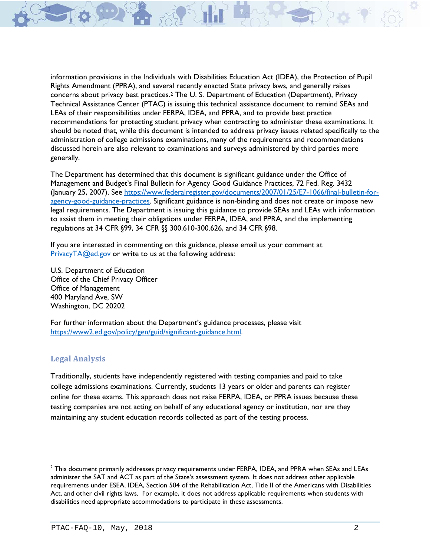information provisions in the Individuals with Disabilities Education Act (IDEA), the Protection of Pupil Rights Amendment (PPRA), and several recently enacted State privacy laws, and generally raises concerns about privacy best practices.[2](#page-1-0) The U. S. Department of Education (Department), Privacy Technical Assistance Center (PTAC) is issuing this technical assistance document to remind SEAs and LEAs of their responsibilities under FERPA, IDEA, and PPRA, and to provide best practice recommendations for protecting student privacy when contracting to administer these examinations. It should be noted that, while this document is intended to address privacy issues related specifically to the administration of college admissions examinations, many of the requirements and recommendations discussed herein are also relevant to examinations and surveys administered by third parties more generally.

The Department has determined that this document is significant guidance under the Office of Management and Budget's Final Bulletin for Agency Good Guidance Practices, 72 Fed. Reg. 3432 (January 25, 2007). See [https://www.federalregister.gov/documents/2007/01/25/E7-1066/final-bulletin-for](https://www.federalregister.gov/documents/2007/01/25/E7-1066/final-bulletin-for-agency-good-guidance-practices)[agency-good-guidance-practices.](https://www.federalregister.gov/documents/2007/01/25/E7-1066/final-bulletin-for-agency-good-guidance-practices) Significant guidance is non-binding and does not create or impose new legal requirements. The Department is issuing this guidance to provide SEAs and LEAs with information to assist them in meeting their obligations under FERPA, IDEA, and PPRA, and the implementing regulations at 34 CFR §99, 34 CFR §§ 300.610-300.626, and 34 CFR §98.

If you are interested in commenting on this guidance, please email us your comment at [PrivacyTA@ed.gov](mailto:PrivacyTA@ed.gov) or write to us at the following address:

U.S. Department of Education Office of the Chief Privacy Officer Office of Management 400 Maryland Ave, SW Washington, DC 20202

For further information about the Department's guidance processes, please visit [https://www2.ed.gov/policy/gen/guid/significant-guidance.html.](https://www2.ed.gov/policy/gen/guid/significant-guidance.html)

## **Legal Analysis**

l

Traditionally, students have independently registered with testing companies and paid to take college admissions examinations. Currently, students 13 years or older and parents can register online for these exams. This approach does not raise FERPA, IDEA, or PPRA issues because these testing companies are not acting on behalf of any educational agency or institution, nor are they maintaining any student education records collected as part of the testing process.

<span id="page-1-0"></span> $<sup>2</sup>$  This document primarily addresses privacy requirements under FERPA, IDEA, and PPRA when SEAs and LEAs</sup> administer the SAT and ACT as part of the State's assessment system. It does not address other applicable requirements under ESEA, IDEA, Section 504 of the Rehabilitation Act, Title II of the Americans with Disabilities Act, and other civil rights laws. For example, it does not address applicable requirements when students with disabilities need appropriate accommodations to participate in these assessments.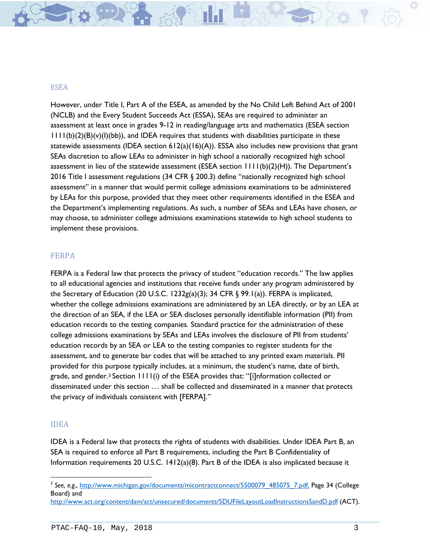#### **ESEA**

However, under Title I, Part A of the ESEA, as amended by the No Child Left Behind Act of 2001 (NCLB) and the Every Student Succeeds Act (ESSA), SEAs are required to administer an assessment at least once in grades 9-12 in reading/language arts and mathematics (ESEA section  $1111(b)(2)(B)(v)(I)(bb)$ , and IDEA requires that students with disabilities participate in these statewide assessments (IDEA section  $612(a)(16)(A)$ ). ESSA also includes new provisions that grant SEAs discretion to allow LEAs to administer in high school a nationally recognized high school assessment in lieu of the statewide assessment (ESEA section  $1111(b)(2)(H)$ ). The Department's 2016 Title I assessment regulations (34 CFR § 200.3) define "nationally recognized high school assessment" in a manner that would permit college admissions examinations to be administered by LEAs for this purpose, provided that they meet other requirements identified in the ESEA and the Department's implementing regulations. As such, a number of SEAs and LEAs have chosen, or may choose, to administer college admissions examinations statewide to high school students to implement these provisions.

#### FERPA

FERPA is a Federal law that protects the privacy of student "education records." The law applies to all educational agencies and institutions that receive funds under any program administered by the Secretary of Education (20 U.S.C. 1232g(a)(3); 34 CFR  $\S$  99.1(a)). FERPA is implicated, whether the college admissions examinations are administered by an LEA directly, or by an LEA at the direction of an SEA, if the LEA or SEA discloses personally identifiable information (PII) from education records to the testing companies. Standard practice for the administration of these college admissions examinations by SEAs and LEAs involves the disclosure of PII from students' education records by an SEA or LEA to the testing companies to register students for the assessment, and to generate bar codes that will be attached to any printed exam materials. PII provided for this purpose typically includes, at a minimum, the student's name, date of birth, grade, and gender.<sup>[3](#page-2-0)</sup> Section  $1111(i)$  of the ESEA provides that: "[i]nformation collected or disseminated under this section … shall be collected and disseminated in a manner that protects the privacy of individuals consistent with [FERPA]."

#### IDEA

l

IDEA is a Federal law that protects the rights of students with disabilities. Under IDEA Part B, an SEA is required to enforce all Part B requirements, including the Part B Confidentiality of Information requirements 20 U.S.C. 1412(a)(8). Part B of the IDEA is also implicated because it

<span id="page-2-0"></span><sup>&</sup>lt;sup>3</sup> See, e.g., [http://www.michigan.gov/documents/micontractconnect/5500079\\_485075\\_7.pdf,](http://www.michigan.gov/documents/micontractconnect/5500079_485075_7.pdf) Page 34 (College Board) and

<http://www.act.org/content/dam/act/unsecured/documents/SDUFileLayoutLoadInstructionsSandD.pdf> (ACT).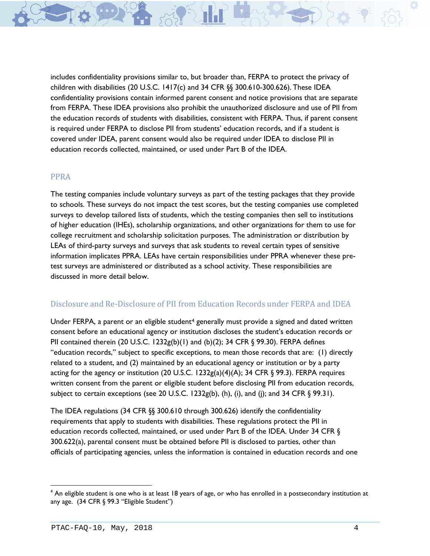includes confidentiality provisions similar to, but broader than, FERPA to protect the privacy of children with disabilities (20 U.S.C. 1417(c) and 34 CFR §§ 300.610-300.626). These IDEA confidentiality provisions contain informed parent consent and notice provisions that are separate from FERPA. These IDEA provisions also prohibit the unauthorized disclosure and use of PII from the education records of students with disabilities, consistent with FERPA. Thus, if parent consent is required under FERPA to disclose PII from students' education records, and if a student is covered under IDEA, parent consent would also be required under IDEA to disclose PII in education records collected, maintained, or used under Part B of the IDEA.

#### PPRA

The testing companies include voluntary surveys as part of the testing packages that they provide to schools. These surveys do not impact the test scores, but the testing companies use completed surveys to develop tailored lists of students, which the testing companies then sell to institutions of higher education (IHEs), scholarship organizations, and other organizations for them to use for college recruitment and scholarship solicitation purposes. The administration or distribution by LEAs of third-party surveys and surveys that ask students to reveal certain types of sensitive information implicates PPRA. LEAs have certain responsibilities under PPRA whenever these pretest surveys are administered or distributed as a school activity. These responsibilities are discussed in more detail below.

#### Disclosure and Re-Disclosure of PII from Education Records under FERPA and IDEA

Under FERPA, a parent or an eligible student<sup>[4](#page-3-0)</sup> generally must provide a signed and dated written consent before an educational agency or institution discloses the student's education records or PII contained therein (20 U.S.C. 1232g(b)(1) and (b)(2); 34 CFR  $\S$  99.30). FERPA defines "education records," subject to specific exceptions, to mean those records that are: (1) directly related to a student, and (2) maintained by an educational agency or institution or by a party acting for the agency or institution (20 U.S.C. 1232g(a)(4)(A); 34 CFR § 99.3). FERPA requires written consent from the parent or eligible student before disclosing PII from education records, subject to certain exceptions (see 20 U.S.C. 1232g(b), (h), (i), and (j); and 34 CFR § 99.31).

The IDEA regulations (34 CFR §§ 300.610 through 300.626) identify the confidentiality requirements that apply to students with disabilities. These regulations protect the PII in education records collected, maintained, or used under Part B of the IDEA. Under 34 CFR § 300.622(a), parental consent must be obtained before PII is disclosed to parties, other than officials of participating agencies, unless the information is contained in education records and one

<span id="page-3-0"></span><sup>&</sup>lt;sup>4</sup> An eligible student is one who is at least 18 years of age, or who has enrolled in a postsecondary institution at any age. (34 CFR § 99.3 "Eligible Student")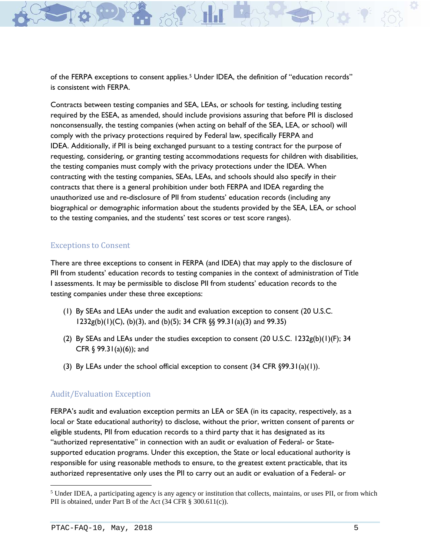of the FERPA exceptions to consent applies.[5](#page-4-0) Under IDEA, the definition of "education records" is consistent with FERPA.

Contracts between testing companies and SEA, LEAs, or schools for testing, including testing required by the ESEA, as amended, should include provisions assuring that before PII is disclosed nonconsensually, the testing companies (when acting on behalf of the SEA, LEA, or school) will comply with the privacy protections required by Federal law, specifically FERPA and IDEA. Additionally, if PII is being exchanged pursuant to a testing contract for the purpose of requesting, considering, or granting testing accommodations requests for children with disabilities, the testing companies must comply with the privacy protections under the IDEA. When contracting with the testing companies, SEAs, LEAs, and schools should also specify in their contracts that there is a general prohibition under both FERPA and IDEA regarding the unauthorized use and re-disclosure of PII from students' education records (including any biographical or demographic information about the students provided by the SEA, LEA, or school to the testing companies, and the students' test scores or test score ranges).

#### Exceptions to Consent

There are three exceptions to consent in FERPA (and IDEA) that may apply to the disclosure of PII from students' education records to testing companies in the context of administration of Title I assessments. It may be permissible to disclose PII from students' education records to the testing companies under these three exceptions:

- (1) By SEAs and LEAs under the audit and evaluation exception to consent (20 U.S.C. 1232g(b)(1)(C), (b)(3), and (b)(5); 34 CFR §§ 99.31(a)(3) and 99.35)
- (2) By SEAs and LEAs under the studies exception to consent (20 U.S.C. 1232g(b)(1)(F); 34 CFR  $\S$  99.31(a)(6)); and
- (3) By LEAs under the school official exception to consent  $(34$  CFR  $\S 99.31(a)(1))$ .

## Audit/Evaluation Exception

FERPA's audit and evaluation exception permits an LEA or SEA (in its capacity, respectively, as a local or State educational authority) to disclose, without the prior, written consent of parents or eligible students, PII from education records to a third party that it has designated as its "authorized representative" in connection with an audit or evaluation of Federal- or Statesupported education programs. Under this exception, the State or local educational authority is responsible for using reasonable methods to ensure, to the greatest extent practicable, that its authorized representative only uses the PII to carry out an audit or evaluation of a Federal- or

<span id="page-4-0"></span><sup>&</sup>lt;sup>5</sup> Under IDEA, a participating agency is any agency or institution that collects, maintains, or uses PII, or from which PII is obtained, under Part B of the Act (34 CFR § 300.611(c)).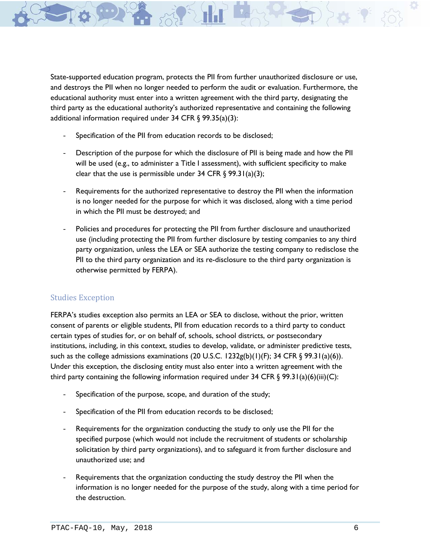State-supported education program, protects the PII from further unauthorized disclosure or use, and destroys the PII when no longer needed to perform the audit or evaluation. Furthermore, the educational authority must enter into a written agreement with the third party, designating the third party as the educational authority's authorized representative and containing the following additional information required under 34 CFR § 99.35(a)(3):

- Specification of the PII from education records to be disclosed;
- Description of the purpose for which the disclosure of PII is being made and how the PII will be used (e.g., to administer a Title I assessment), with sufficient specificity to make clear that the use is permissible under 34 CFR § 99.31(a)(3);
- Requirements for the authorized representative to destroy the PII when the information is no longer needed for the purpose for which it was disclosed, along with a time period in which the PII must be destroyed; and
- Policies and procedures for protecting the PII from further disclosure and unauthorized use (including protecting the PII from further disclosure by testing companies to any third party organization, unless the LEA or SEA authorize the testing company to redisclose the PII to the third party organization and its re-disclosure to the third party organization is otherwise permitted by FERPA).

## Studies Exception

FERPA's studies exception also permits an LEA or SEA to disclose, without the prior, written consent of parents or eligible students, PII from education records to a third party to conduct certain types of studies for, or on behalf of, schools, school districts, or postsecondary institutions, including, in this context, studies to develop, validate, or administer predictive tests, such as the college admissions examinations (20 U.S.C. 1232g(b)(1)(F); 34 CFR  $\S$  99.31(a)(6)). Under this exception, the disclosing entity must also enter into a written agreement with the third party containing the following information required under 34 CFR  $\S$  99.31(a)(6)(iii)(C):

- Specification of the purpose, scope, and duration of the study;
- Specification of the PII from education records to be disclosed;
- Requirements for the organization conducting the study to only use the PII for the specified purpose (which would not include the recruitment of students or scholarship solicitation by third party organizations), and to safeguard it from further disclosure and unauthorized use; and
- Requirements that the organization conducting the study destroy the PII when the information is no longer needed for the purpose of the study, along with a time period for the destruction.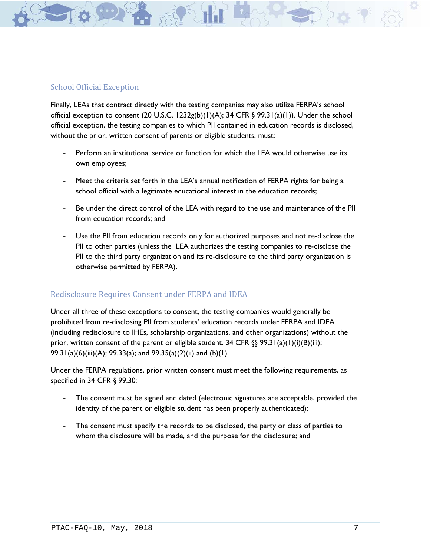

Finally, LEAs that contract directly with the testing companies may also utilize FERPA's school official exception to consent (20 U.S.C. 1232g(b)(1)(A); 34 CFR § 99.31(a)(1)). Under the school official exception, the testing companies to which PII contained in education records is disclosed, without the prior, written consent of parents or eligible students, must:

- Perform an institutional service or function for which the LEA would otherwise use its own employees;
- Meet the criteria set forth in the LEA's annual notification of FERPA rights for being a school official with a legitimate educational interest in the education records;
- Be under the direct control of the LEA with regard to the use and maintenance of the PII from education records; and
- Use the PII from education records only for authorized purposes and not re-disclose the PII to other parties (unless the LEA authorizes the testing companies to re-disclose the PII to the third party organization and its re-disclosure to the third party organization is otherwise permitted by FERPA).

## Redisclosure Requires Consent under FERPA and IDEA

Under all three of these exceptions to consent, the testing companies would generally be prohibited from re-disclosing PII from students' education records under FERPA and IDEA (including redisclosure to IHEs, scholarship organizations, and other organizations) without the prior, written consent of the parent or eligible student. 34 CFR  $\S$ § 99.31(a)(1)(i)(B)(iii); 99.31(a)(6)(iii)(A); 99.33(a); and 99.35(a)(2)(ii) and (b)(1).

Under the FERPA regulations, prior written consent must meet the following requirements, as specified in 34 CFR § 99.30:

- The consent must be signed and dated (electronic signatures are acceptable, provided the identity of the parent or eligible student has been properly authenticated);
- The consent must specify the records to be disclosed, the party or class of parties to whom the disclosure will be made, and the purpose for the disclosure; and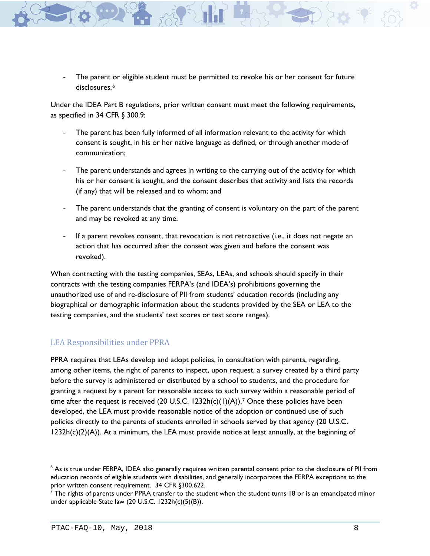The parent or eligible student must be permitted to revoke his or her consent for future disclosures.<sup>[6](#page-7-0)</sup>

Under the IDEA Part B regulations, prior written consent must meet the following requirements, as specified in 34 CFR § 300.9:

- The parent has been fully informed of all information relevant to the activity for which consent is sought, in his or her native language as defined, or through another mode of communication;
- The parent understands and agrees in writing to the carrying out of the activity for which his or her consent is sought, and the consent describes that activity and lists the records (if any) that will be released and to whom; and
- The parent understands that the granting of consent is voluntary on the part of the parent and may be revoked at any time.
- If a parent revokes consent, that revocation is not retroactive (i.e., it does not negate an action that has occurred after the consent was given and before the consent was revoked).

When contracting with the testing companies, SEAs, LEAs, and schools should specify in their contracts with the testing companies FERPA's (and IDEA's) prohibitions governing the unauthorized use of and re-disclosure of PII from students' education records (including any biographical or demographic information about the students provided by the SEA or LEA to the testing companies, and the students' test scores or test score ranges).

## LEA Responsibilities under PPRA

PPRA requires that LEAs develop and adopt policies, in consultation with parents, regarding, among other items, the right of parents to inspect, upon request, a survey created by a third party before the survey is administered or distributed by a school to students, and the procedure for granting a request by a parent for reasonable access to such survey within a reasonable period of time after the request is received (20 U.S.C. 1232h(c)(1)(A)).<sup>[7](#page-7-1)</sup> Once these policies have been developed, the LEA must provide reasonable notice of the adoption or continued use of such policies directly to the parents of students enrolled in schools served by that agency (20 U.S.C.  $1232h(c)(2)(A)$ ). At a minimum, the LEA must provide notice at least annually, at the beginning of

<span id="page-7-0"></span><sup>6</sup> As is true under FERPA, IDEA also generally requires written parental consent prior to the disclosure of PII from education records of eligible students with disabilities, and generally incorporates the FERPA exceptions to the prior written consent requirement. 34 CFR §300.622.

<span id="page-7-1"></span> $^7$  The rights of parents under PPRA transfer to the student when the student turns 18 or is an emancipated minor under applicable State law (20 U.S.C. 1232h(c)(5)(B)).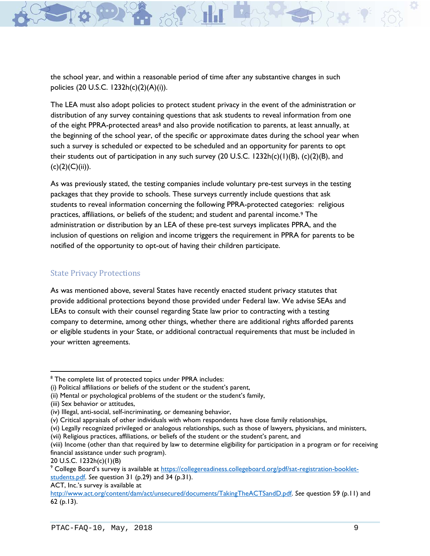the school year, and within a reasonable period of time after any substantive changes in such policies (20 U.S.C. 1232h(c)(2)(A)(i)).

The LEA must also adopt policies to protect student privacy in the event of the administration or distribution of any survey containing questions that ask students to reveal information from one of the eight PPRA-protected areas[8](#page-8-0) and also provide notification to parents, at least annually, at the beginning of the school year, of the specific or approximate dates during the school year when such a survey is scheduled or expected to be scheduled and an opportunity for parents to opt their students out of participation in any such survey (20 U.S.C. 1232h(c)(1)(B), (c)(2)(B), and  $(c)(2)(C)(ii)).$ 

As was previously stated, the testing companies include voluntary pre-test surveys in the testing packages that they provide to schools. These surveys currently include questions that ask students to reveal information concerning the following PPRA-protected categories: religious practices, affiliations, or beliefs of the student; and student and parental income.[9](#page-8-1) The administration or distribution by an LEA of these pre-test surveys implicates PPRA, and the inclusion of questions on religion and income triggers the requirement in PPRA for parents to be notified of the opportunity to opt-out of having their children participate.

#### State Privacy Protections

As was mentioned above, several States have recently enacted student privacy statutes that provide additional protections beyond those provided under Federal law. We advise SEAs and LEAs to consult with their counsel regarding State law prior to contracting with a testing company to determine, among other things, whether there are additional rights afforded parents or eligible students in your State, or additional contractual requirements that must be included in your written agreements.

<span id="page-8-0"></span><sup>&</sup>lt;sup>8</sup> The complete list of protected topics under PPRA includes:

<sup>(</sup>i) Political affiliations or beliefs of the student or the student's parent,

<sup>(</sup>ii) Mental or psychological problems of the student or the student's family,

<sup>(</sup>iii) Sex behavior or attitudes,

<sup>(</sup>iv) Illegal, anti-social, self-incriminating, or demeaning behavior,

<sup>(</sup>v) Critical appraisals of other individuals with whom respondents have close family relationships,

<sup>(</sup>vi) Legally recognized privileged or analogous relationships, such as those of lawyers, physicians, and ministers,

<sup>(</sup>vii) Religious practices, affiliations, or beliefs of the student or the student's parent, and

<sup>(</sup>viii) Income (other than that required by law to determine eligibility for participation in a program or for receiving financial assistance under such program).

<sup>20</sup> U.S.C. 1232h(c)(1)(B)

<span id="page-8-1"></span><sup>9</sup> College Board's survey is available at [https://collegereadiness.collegeboard.org/pdf/sat-registration-booklet](https://collegereadiness.collegeboard.org/pdf/sat-registration-booklet-students.pdf)[students.pdf.](https://collegereadiness.collegeboard.org/pdf/sat-registration-booklet-students.pdf) *See* question 31 (p.29) and 34 (p.31).

ACT, Inc.'s survey is available at

[http://www.act.org/content/dam/act/unsecured/documents/TakingTheACTSandD.pdf.](http://www.act.org/content/dam/act/unsecured/documents/TakingTheACTSandD.pdf) *See* question 59 (p.11) and 62 (p.13).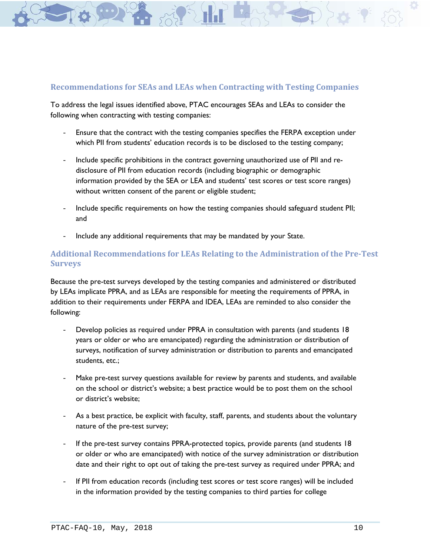## **Recommendations for SEAs and LEAs when Contracting with Testing Companies**

To address the legal issues identified above, PTAC encourages SEAs and LEAs to consider the following when contracting with testing companies:

- Ensure that the contract with the testing companies specifies the FERPA exception under which PII from students' education records is to be disclosed to the testing company;
- Include specific prohibitions in the contract governing unauthorized use of PII and redisclosure of PII from education records (including biographic or demographic information provided by the SEA or LEA and students' test scores or test score ranges) without written consent of the parent or eligible student;
- Include specific requirements on how the testing companies should safeguard student PII; and
- Include any additional requirements that may be mandated by your State.

# **Additional Recommendations for LEAs Relating to the Administration of the Pre-Test Surveys**

Because the pre-test surveys developed by the testing companies and administered or distributed by LEAs implicate PPRA, and as LEAs are responsible for meeting the requirements of PPRA, in addition to their requirements under FERPA and IDEA, LEAs are reminded to also consider the following:

- Develop policies as required under PPRA in consultation with parents (and students 18 years or older or who are emancipated) regarding the administration or distribution of surveys, notification of survey administration or distribution to parents and emancipated students, etc.;
- Make pre-test survey questions available for review by parents and students, and available on the school or district's website; a best practice would be to post them on the school or district's website;
- As a best practice, be explicit with faculty, staff, parents, and students about the voluntary nature of the pre-test survey;
- If the pre-test survey contains PPRA-protected topics, provide parents (and students 18 or older or who are emancipated) with notice of the survey administration or distribution date and their right to opt out of taking the pre-test survey as required under PPRA; and
- If PII from education records (including test scores or test score ranges) will be included in the information provided by the testing companies to third parties for college